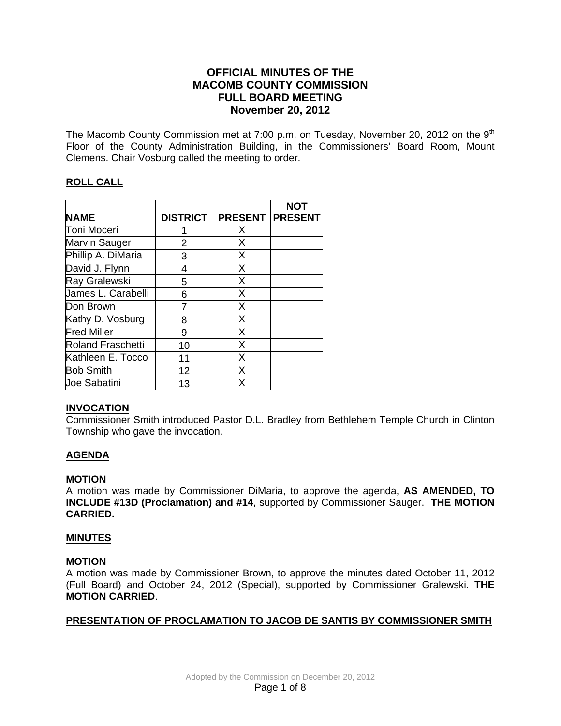# **OFFICIAL MINUTES OF THE MACOMB COUNTY COMMISSION FULL BOARD MEETING November 20, 2012**

The Macomb County Commission met at 7:00 p.m. on Tuesday, November 20, 2012 on the  $9<sup>th</sup>$ Floor of the County Administration Building, in the Commissioners' Board Room, Mount Clemens. Chair Vosburg called the meeting to order.

# **ROLL CALL**

|                          |                 |                | <b>NOT</b>     |
|--------------------------|-----------------|----------------|----------------|
| <b>NAME</b>              | <b>DISTRICT</b> | <b>PRESENT</b> | <b>PRESENT</b> |
| Toni Moceri              |                 | X              |                |
| Marvin Sauger            | 2               | X              |                |
| Phillip A. DiMaria       | 3               | X              |                |
| David J. Flynn           | 4               | X              |                |
| Ray Gralewski            | 5               | X              |                |
| James L. Carabelli       | 6               | X              |                |
| Don Brown                |                 | X              |                |
| Kathy D. Vosburg         | 8               | X              |                |
| <b>Fred Miller</b>       | 9               | X              |                |
| <b>Roland Fraschetti</b> | 10              | X              |                |
| Kathleen E. Tocco        | 11              | X              |                |
| <b>Bob Smith</b>         | 12              | X              |                |
| Joe Sabatini             | 13              | X              |                |

# **INVOCATION**

Commissioner Smith introduced Pastor D.L. Bradley from Bethlehem Temple Church in Clinton Township who gave the invocation.

# **AGENDA**

# **MOTION**

A motion was made by Commissioner DiMaria, to approve the agenda, **AS AMENDED, TO INCLUDE #13D (Proclamation) and #14**, supported by Commissioner Sauger. **THE MOTION CARRIED.** 

# **MINUTES**

# **MOTION**

A motion was made by Commissioner Brown, to approve the minutes dated October 11, 2012 (Full Board) and October 24, 2012 (Special), supported by Commissioner Gralewski. **THE MOTION CARRIED**.

# **PRESENTATION OF PROCLAMATION TO JACOB DE SANTIS BY COMMISSIONER SMITH**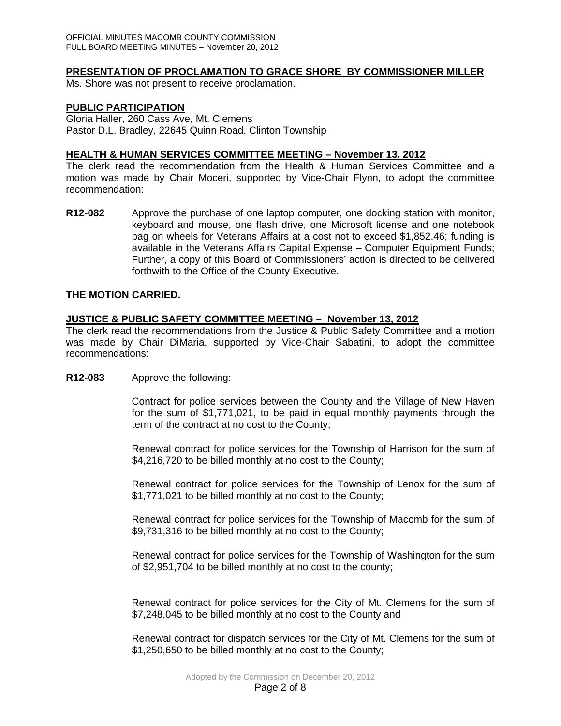## **PRESENTATION OF PROCLAMATION TO GRACE SHORE BY COMMISSIONER MILLER**

Ms. Shore was not present to receive proclamation.

#### **PUBLIC PARTICIPATION**

Gloria Haller, 260 Cass Ave, Mt. Clemens Pastor D.L. Bradley, 22645 Quinn Road, Clinton Township

## **HEALTH & HUMAN SERVICES COMMITTEE MEETING – November 13, 2012**

The clerk read the recommendation from the Health & Human Services Committee and a motion was made by Chair Moceri, supported by Vice-Chair Flynn, to adopt the committee recommendation:

**R12-082** Approve the purchase of one laptop computer, one docking station with monitor, keyboard and mouse, one flash drive, one Microsoft license and one notebook bag on wheels for Veterans Affairs at a cost not to exceed \$1,852.46; funding is available in the Veterans Affairs Capital Expense – Computer Equipment Funds; Further, a copy of this Board of Commissioners' action is directed to be delivered forthwith to the Office of the County Executive.

## **THE MOTION CARRIED.**

## **JUSTICE & PUBLIC SAFETY COMMITTEE MEETING – November 13, 2012**

The clerk read the recommendations from the Justice & Public Safety Committee and a motion was made by Chair DiMaria, supported by Vice-Chair Sabatini, to adopt the committee recommendations:

#### **R12-083** Approve the following:

Contract for police services between the County and the Village of New Haven for the sum of \$1,771,021, to be paid in equal monthly payments through the term of the contract at no cost to the County;

Renewal contract for police services for the Township of Harrison for the sum of \$4,216,720 to be billed monthly at no cost to the County;

Renewal contract for police services for the Township of Lenox for the sum of \$1,771,021 to be billed monthly at no cost to the County;

Renewal contract for police services for the Township of Macomb for the sum of \$9,731,316 to be billed monthly at no cost to the County;

Renewal contract for police services for the Township of Washington for the sum of \$2,951,704 to be billed monthly at no cost to the county;

Renewal contract for police services for the City of Mt. Clemens for the sum of \$7,248,045 to be billed monthly at no cost to the County and

Renewal contract for dispatch services for the City of Mt. Clemens for the sum of \$1,250,650 to be billed monthly at no cost to the County;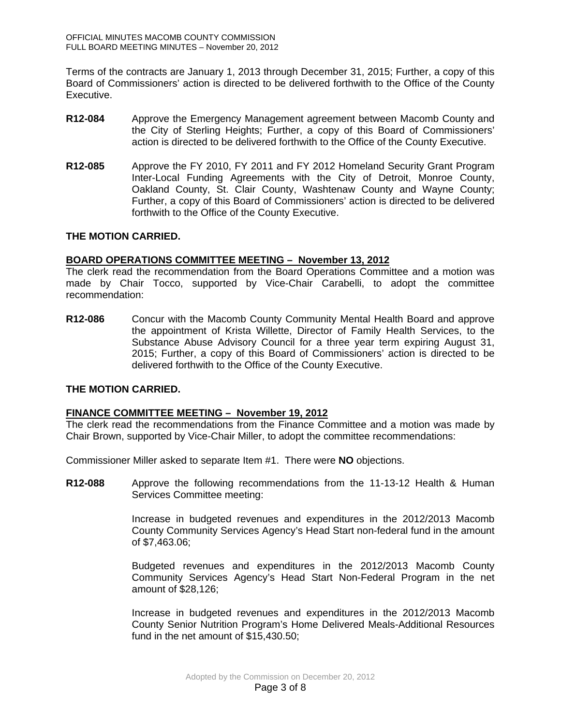Terms of the contracts are January 1, 2013 through December 31, 2015; Further, a copy of this Board of Commissioners' action is directed to be delivered forthwith to the Office of the County Executive.

- **R12-084** Approve the Emergency Management agreement between Macomb County and the City of Sterling Heights; Further, a copy of this Board of Commissioners' action is directed to be delivered forthwith to the Office of the County Executive.
- **R12-085** Approve the FY 2010, FY 2011 and FY 2012 Homeland Security Grant Program Inter-Local Funding Agreements with the City of Detroit, Monroe County, Oakland County, St. Clair County, Washtenaw County and Wayne County; Further, a copy of this Board of Commissioners' action is directed to be delivered forthwith to the Office of the County Executive.

## **THE MOTION CARRIED.**

## **BOARD OPERATIONS COMMITTEE MEETING – November 13, 2012**

The clerk read the recommendation from the Board Operations Committee and a motion was made by Chair Tocco, supported by Vice-Chair Carabelli, to adopt the committee recommendation:

**R12-086** Concur with the Macomb County Community Mental Health Board and approve the appointment of Krista Willette, Director of Family Health Services, to the Substance Abuse Advisory Council for a three year term expiring August 31, 2015; Further, a copy of this Board of Commissioners' action is directed to be delivered forthwith to the Office of the County Executive.

# **THE MOTION CARRIED.**

# **FINANCE COMMITTEE MEETING – November 19, 2012**

The clerk read the recommendations from the Finance Committee and a motion was made by Chair Brown, supported by Vice-Chair Miller, to adopt the committee recommendations:

Commissioner Miller asked to separate Item #1. There were **NO** objections.

**R12-088** Approve the following recommendations from the 11-13-12 Health & Human Services Committee meeting:

> Increase in budgeted revenues and expenditures in the 2012/2013 Macomb County Community Services Agency's Head Start non-federal fund in the amount of \$7,463.06;

> Budgeted revenues and expenditures in the 2012/2013 Macomb County Community Services Agency's Head Start Non-Federal Program in the net amount of \$28,126;

> Increase in budgeted revenues and expenditures in the 2012/2013 Macomb County Senior Nutrition Program's Home Delivered Meals-Additional Resources fund in the net amount of \$15,430.50;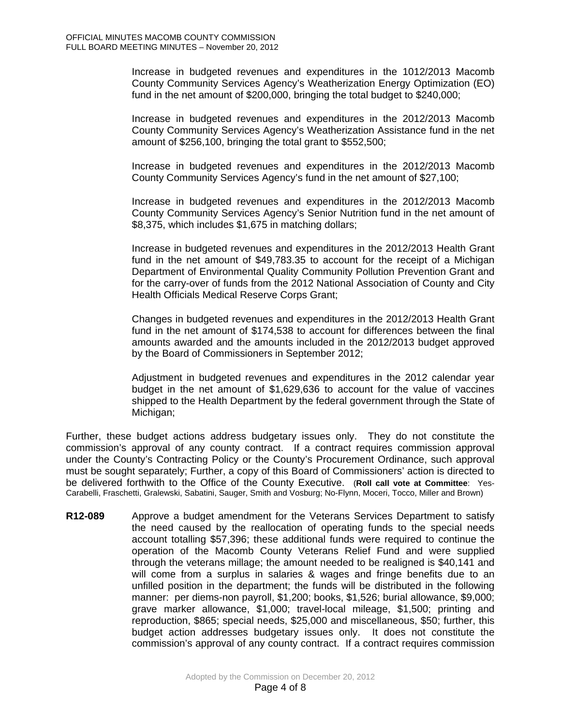Increase in budgeted revenues and expenditures in the 1012/2013 Macomb County Community Services Agency's Weatherization Energy Optimization (EO) fund in the net amount of \$200,000, bringing the total budget to \$240,000;

Increase in budgeted revenues and expenditures in the 2012/2013 Macomb County Community Services Agency's Weatherization Assistance fund in the net amount of \$256,100, bringing the total grant to \$552,500;

Increase in budgeted revenues and expenditures in the 2012/2013 Macomb County Community Services Agency's fund in the net amount of \$27,100;

Increase in budgeted revenues and expenditures in the 2012/2013 Macomb County Community Services Agency's Senior Nutrition fund in the net amount of \$8,375, which includes \$1,675 in matching dollars;

Increase in budgeted revenues and expenditures in the 2012/2013 Health Grant fund in the net amount of \$49,783.35 to account for the receipt of a Michigan Department of Environmental Quality Community Pollution Prevention Grant and for the carry-over of funds from the 2012 National Association of County and City Health Officials Medical Reserve Corps Grant;

Changes in budgeted revenues and expenditures in the 2012/2013 Health Grant fund in the net amount of \$174,538 to account for differences between the final amounts awarded and the amounts included in the 2012/2013 budget approved by the Board of Commissioners in September 2012;

Adjustment in budgeted revenues and expenditures in the 2012 calendar year budget in the net amount of \$1,629,636 to account for the value of vaccines shipped to the Health Department by the federal government through the State of Michigan;

Further, these budget actions address budgetary issues only. They do not constitute the commission's approval of any county contract. If a contract requires commission approval under the County's Contracting Policy or the County's Procurement Ordinance, such approval must be sought separately; Further, a copy of this Board of Commissioners' action is directed to be delivered forthwith to the Office of the County Executive. (**Roll call vote at Committee**: Yes-Carabelli, Fraschetti, Gralewski, Sabatini, Sauger, Smith and Vosburg; No-Flynn, Moceri, Tocco, Miller and Brown)

**R12-089** Approve a budget amendment for the Veterans Services Department to satisfy the need caused by the reallocation of operating funds to the special needs account totalling \$57,396; these additional funds were required to continue the operation of the Macomb County Veterans Relief Fund and were supplied through the veterans millage; the amount needed to be realigned is \$40,141 and will come from a surplus in salaries & wages and fringe benefits due to an unfilled position in the department; the funds will be distributed in the following manner: per diems-non payroll, \$1,200; books, \$1,526; burial allowance, \$9,000; grave marker allowance, \$1,000; travel-local mileage, \$1,500; printing and reproduction, \$865; special needs, \$25,000 and miscellaneous, \$50; further, this budget action addresses budgetary issues only. It does not constitute the commission's approval of any county contract. If a contract requires commission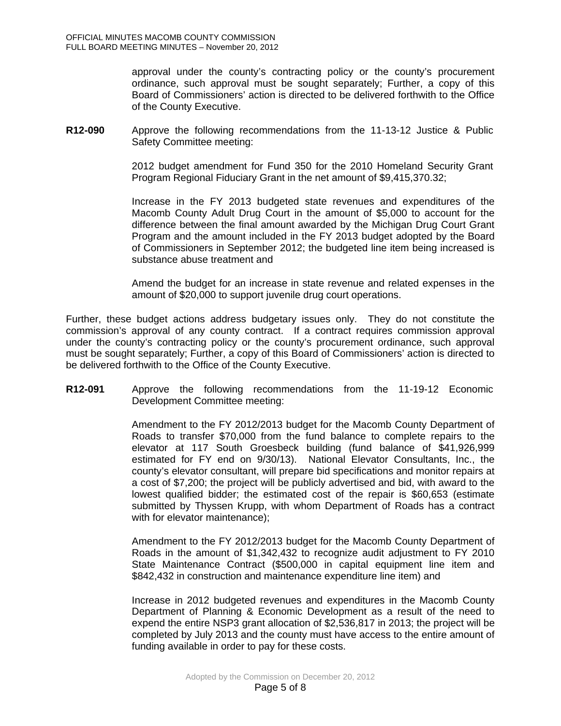approval under the county's contracting policy or the county's procurement ordinance, such approval must be sought separately; Further, a copy of this Board of Commissioners' action is directed to be delivered forthwith to the Office of the County Executive.

**R12-090** Approve the following recommendations from the 11-13-12 Justice & Public Safety Committee meeting:

> 2012 budget amendment for Fund 350 for the 2010 Homeland Security Grant Program Regional Fiduciary Grant in the net amount of \$9,415,370.32;

> Increase in the FY 2013 budgeted state revenues and expenditures of the Macomb County Adult Drug Court in the amount of \$5,000 to account for the difference between the final amount awarded by the Michigan Drug Court Grant Program and the amount included in the FY 2013 budget adopted by the Board of Commissioners in September 2012; the budgeted line item being increased is substance abuse treatment and

> Amend the budget for an increase in state revenue and related expenses in the amount of \$20,000 to support juvenile drug court operations.

Further, these budget actions address budgetary issues only. They do not constitute the commission's approval of any county contract. If a contract requires commission approval under the county's contracting policy or the county's procurement ordinance, such approval must be sought separately; Further, a copy of this Board of Commissioners' action is directed to be delivered forthwith to the Office of the County Executive.

**R12-091** Approve the following recommendations from the 11-19-12 Economic Development Committee meeting:

> Amendment to the FY 2012/2013 budget for the Macomb County Department of Roads to transfer \$70,000 from the fund balance to complete repairs to the elevator at 117 South Groesbeck building (fund balance of \$41,926,999 estimated for FY end on 9/30/13). National Elevator Consultants, Inc., the county's elevator consultant, will prepare bid specifications and monitor repairs at a cost of \$7,200; the project will be publicly advertised and bid, with award to the lowest qualified bidder; the estimated cost of the repair is \$60,653 (estimate submitted by Thyssen Krupp, with whom Department of Roads has a contract with for elevator maintenance);

> Amendment to the FY 2012/2013 budget for the Macomb County Department of Roads in the amount of \$1,342,432 to recognize audit adjustment to FY 2010 State Maintenance Contract (\$500,000 in capital equipment line item and \$842,432 in construction and maintenance expenditure line item) and

> Increase in 2012 budgeted revenues and expenditures in the Macomb County Department of Planning & Economic Development as a result of the need to expend the entire NSP3 grant allocation of \$2,536,817 in 2013; the project will be completed by July 2013 and the county must have access to the entire amount of funding available in order to pay for these costs.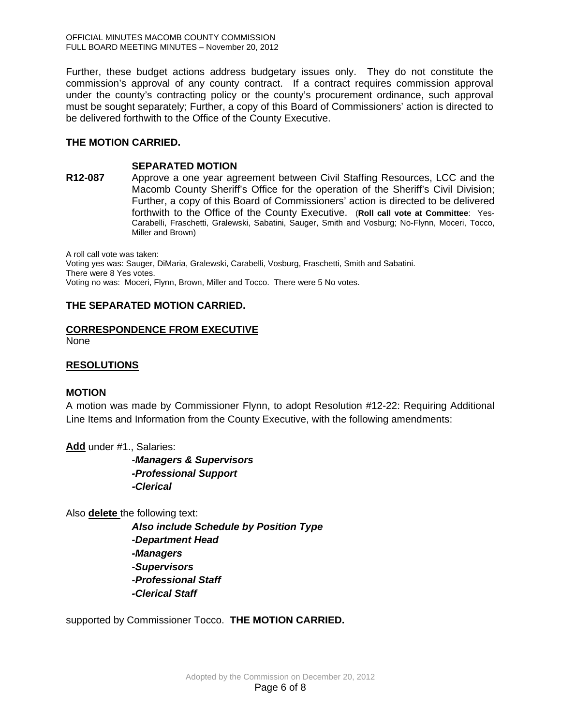OFFICIAL MINUTES MACOMB COUNTY COMMISSION FULL BOARD MEETING MINUTES – November 20, 2012

Further, these budget actions address budgetary issues only. They do not constitute the commission's approval of any county contract. If a contract requires commission approval under the county's contracting policy or the county's procurement ordinance, such approval must be sought separately; Further, a copy of this Board of Commissioners' action is directed to be delivered forthwith to the Office of the County Executive.

# **THE MOTION CARRIED.**

## **SEPARATED MOTION**

**R12-087** Approve a one year agreement between Civil Staffing Resources, LCC and the Macomb County Sheriff's Office for the operation of the Sheriff's Civil Division; Further, a copy of this Board of Commissioners' action is directed to be delivered forthwith to the Office of the County Executive. (**Roll call vote at Committee**: Yes-Carabelli, Fraschetti, Gralewski, Sabatini, Sauger, Smith and Vosburg; No-Flynn, Moceri, Tocco, Miller and Brown)

A roll call vote was taken: Voting yes was: Sauger, DiMaria, Gralewski, Carabelli, Vosburg, Fraschetti, Smith and Sabatini. There were 8 Yes votes. Voting no was: Moceri, Flynn, Brown, Miller and Tocco. There were 5 No votes.

# **THE SEPARATED MOTION CARRIED.**

# **CORRESPONDENCE FROM EXECUTIVE**

None

# **RESOLUTIONS**

# **MOTION**

A motion was made by Commissioner Flynn, to adopt Resolution #12-22: Requiring Additional Line Items and Information from the County Executive, with the following amendments:

**Add** under #1., Salaries:

 *-Managers & Supervisors -Professional Support -Clerical*

Also **delete** the following text:

 *Also include Schedule by Position Type -Department Head -Managers -Supervisors -Professional Staff -Clerical Staff*

supported by Commissioner Tocco. **THE MOTION CARRIED.**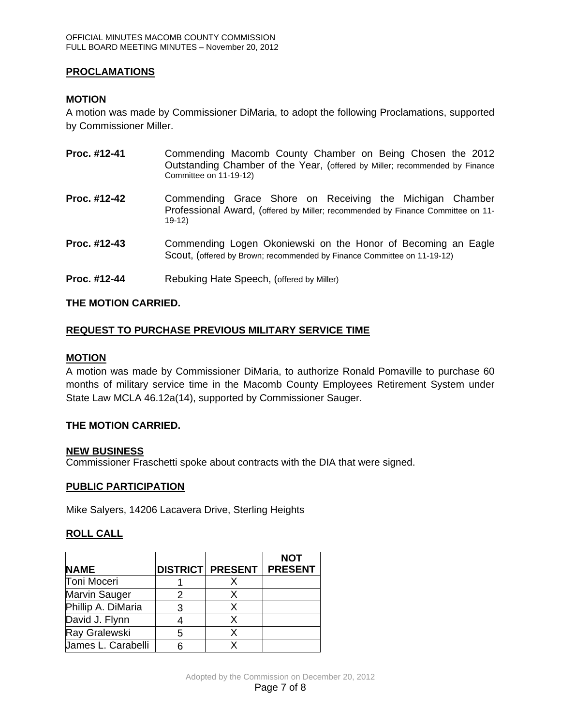# **PROCLAMATIONS**

# **MOTION**

A motion was made by Commissioner DiMaria, to adopt the following Proclamations, supported by Commissioner Miller.

| Proc. #12-41 | Commending Macomb County Chamber on Being Chosen the 2012<br>Outstanding Chamber of the Year, (offered by Miller; recommended by Finance<br>Committee on 11-19-12) |  |  |
|--------------|--------------------------------------------------------------------------------------------------------------------------------------------------------------------|--|--|
| Proc. #12-42 | Commending Grace Shore on Receiving the Michigan Chamber<br>Professional Award, (offered by Miller; recommended by Finance Committee on 11-<br>$19-12$             |  |  |
| Proc. #12-43 | Commending Logen Okoniewski on the Honor of Becoming an Eagle<br>Scout, (offered by Brown; recommended by Finance Committee on 11-19-12)                           |  |  |
| Proc. #12-44 | Rebuking Hate Speech, (offered by Miller)                                                                                                                          |  |  |

# **THE MOTION CARRIED.**

# **REQUEST TO PURCHASE PREVIOUS MILITARY SERVICE TIME**

#### **MOTION**

A motion was made by Commissioner DiMaria, to authorize Ronald Pomaville to purchase 60 months of military service time in the Macomb County Employees Retirement System under State Law MCLA 46.12a(14), supported by Commissioner Sauger.

#### **THE MOTION CARRIED.**

#### **NEW BUSINESS**

Commissioner Fraschetti spoke about contracts with the DIA that were signed.

#### **PUBLIC PARTICIPATION**

Mike Salyers, 14206 Lacavera Drive, Sterling Heights

# **ROLL CALL**

| <b>NAME</b>        | <b>DISTRICT PRESENT</b> | <b>NOT</b><br><b>PRESENT</b> |
|--------------------|-------------------------|------------------------------|
| Toni Moceri        |                         |                              |
| Marvin Sauger      |                         |                              |
| Phillip A. DiMaria | x                       |                              |
| David J. Flynn     |                         |                              |
| Ray Gralewski      |                         |                              |
| James L. Carabelli |                         |                              |